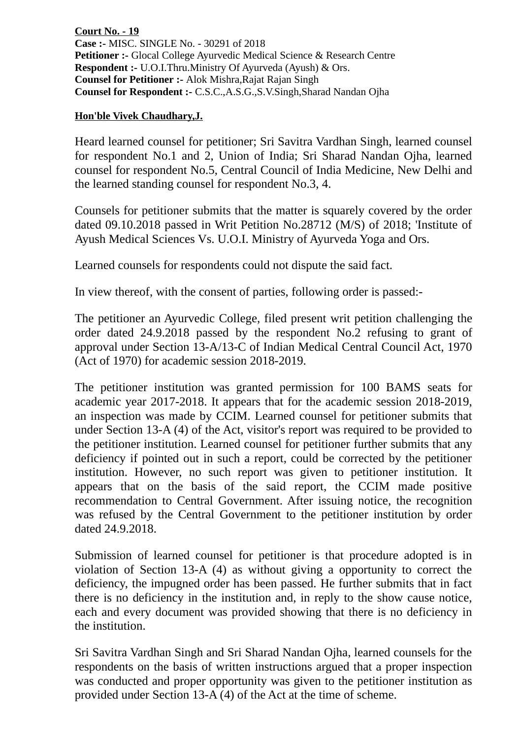**Court No. - 19 Case :-** MISC. SINGLE No. - 30291 of 2018 **Petitioner :-** Glocal College Ayurvedic Medical Science & Research Centre **Respondent :-** U.O.I.Thru.Ministry Of Ayurveda (Ayush) & Ors. **Counsel for Petitioner :-** Alok Mishra,Rajat Rajan Singh **Counsel for Respondent :-** C.S.C.,A.S.G.,S.V.Singh,Sharad Nandan Ojha

## **Hon'ble Vivek Chaudhary,J.**

Heard learned counsel for petitioner; Sri Savitra Vardhan Singh, learned counsel for respondent No.1 and 2, Union of India; Sri Sharad Nandan Ojha, learned counsel for respondent No.5, Central Council of India Medicine, New Delhi and the learned standing counsel for respondent No.3, 4.

Counsels for petitioner submits that the matter is squarely covered by the order dated 09.10.2018 passed in Writ Petition No.28712 (M/S) of 2018; 'Institute of Ayush Medical Sciences Vs. U.O.I. Ministry of Ayurveda Yoga and Ors.

Learned counsels for respondents could not dispute the said fact.

In view thereof, with the consent of parties, following order is passed:-

The petitioner an Ayurvedic College, filed present writ petition challenging the order dated 24.9.2018 passed by the respondent No.2 refusing to grant of approval under Section 13-A/13-C of Indian Medical Central Council Act, 1970 (Act of 1970) for academic session 2018-2019.

The petitioner institution was granted permission for 100 BAMS seats for academic year 2017-2018. It appears that for the academic session 2018-2019, an inspection was made by CCIM. Learned counsel for petitioner submits that under Section 13-A (4) of the Act, visitor's report was required to be provided to the petitioner institution. Learned counsel for petitioner further submits that any deficiency if pointed out in such a report, could be corrected by the petitioner institution. However, no such report was given to petitioner institution. It appears that on the basis of the said report, the CCIM made positive recommendation to Central Government. After issuing notice, the recognition was refused by the Central Government to the petitioner institution by order dated 24.9.2018.

Submission of learned counsel for petitioner is that procedure adopted is in violation of Section 13-A (4) as without giving a opportunity to correct the deficiency, the impugned order has been passed. He further submits that in fact there is no deficiency in the institution and, in reply to the show cause notice, each and every document was provided showing that there is no deficiency in the institution.

Sri Savitra Vardhan Singh and Sri Sharad Nandan Ojha, learned counsels for the respondents on the basis of written instructions argued that a proper inspection was conducted and proper opportunity was given to the petitioner institution as provided under Section 13-A (4) of the Act at the time of scheme.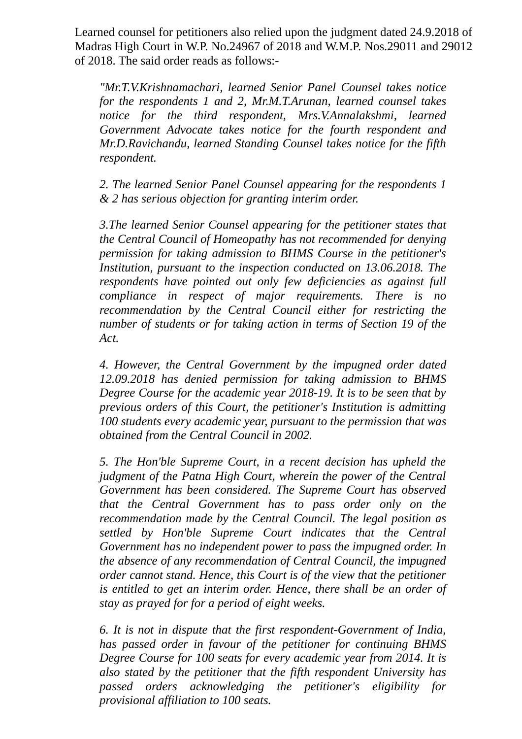Learned counsel for petitioners also relied upon the judgment dated 24.9.2018 of Madras High Court in W.P. No.24967 of 2018 and W.M.P. Nos.29011 and 29012 of 2018. The said order reads as follows:-

*"Mr.T.V.Krishnamachari, learned Senior Panel Counsel takes notice for the respondents 1 and 2, Mr.M.T.Arunan, learned counsel takes notice for the third respondent, Mrs.V.Annalakshmi, learned Government Advocate takes notice for the fourth respondent and Mr.D.Ravichandu, learned Standing Counsel takes notice for the fifth respondent.* 

*2. The learned Senior Panel Counsel appearing for the respondents 1 & 2 has serious objection for granting interim order.* 

*3.The learned Senior Counsel appearing for the petitioner states that the Central Council of Homeopathy has not recommended for denying permission for taking admission to BHMS Course in the petitioner's Institution, pursuant to the inspection conducted on 13.06.2018. The respondents have pointed out only few deficiencies as against full compliance in respect of major requirements. There is no recommendation by the Central Council either for restricting the number of students or for taking action in terms of Section 19 of the Act.* 

*4. However, the Central Government by the impugned order dated 12.09.2018 has denied permission for taking admission to BHMS Degree Course for the academic year 2018-19. It is to be seen that by previous orders of this Court, the petitioner's Institution is admitting 100 students every academic year, pursuant to the permission that was obtained from the Central Council in 2002.* 

*5. The Hon'ble Supreme Court, in a recent decision has upheld the judgment of the Patna High Court, wherein the power of the Central Government has been considered. The Supreme Court has observed that the Central Government has to pass order only on the recommendation made by the Central Council. The legal position as settled by Hon'ble Supreme Court indicates that the Central Government has no independent power to pass the impugned order. In the absence of any recommendation of Central Council, the impugned order cannot stand. Hence, this Court is of the view that the petitioner is entitled to get an interim order. Hence, there shall be an order of stay as prayed for for a period of eight weeks.* 

*6. It is not in dispute that the first respondent-Government of India, has passed order in favour of the petitioner for continuing BHMS Degree Course for 100 seats for every academic year from 2014. It is also stated by the petitioner that the fifth respondent University has passed orders acknowledging the petitioner's eligibility for provisional affiliation to 100 seats.*